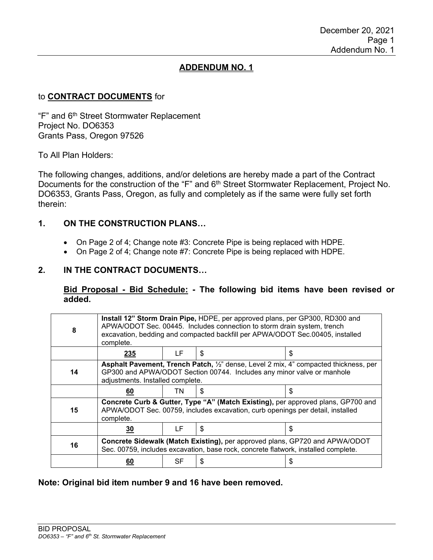# **ADDENDUM NO. 1**

#### to **CONTRACT DOCUMENTS** for

"F" and 6<sup>th</sup> Street Stormwater Replacement Project No. DO6353 Grants Pass, Oregon 97526

To All Plan Holders:

The following changes, additions, and/or deletions are hereby made a part of the Contract Documents for the construction of the "F" and 6<sup>th</sup> Street Stormwater Replacement, Project No. DO6353, Grants Pass, Oregon, as fully and completely as if the same were fully set forth therein:

## **1. ON THE CONSTRUCTION PLANS…**

- On Page 2 of 4; Change note #3: Concrete Pipe is being replaced with HDPE.
- On Page 2 of 4; Change note #7: Concrete Pipe is being replaced with HDPE.

#### **2. IN THE CONTRACT DOCUMENTS…**

**Bid Proposal - Bid Schedule: - The following bid items have been revised or added.**

| 8  | Install 12" Storm Drain Pipe, HDPE, per approved plans, per GP300, RD300 and<br>APWA/ODOT Sec. 00445. Includes connection to storm drain system, trench<br>excavation, bedding and compacted backfill per APWA/ODOT Sec.00405, installed<br>complete. |    |    |    |  |  |
|----|-------------------------------------------------------------------------------------------------------------------------------------------------------------------------------------------------------------------------------------------------------|----|----|----|--|--|
|    | 235                                                                                                                                                                                                                                                   | LF | \$ | \$ |  |  |
| 14 | Asphalt Pavement, Trench Patch, 1/2" dense, Level 2 mix, 4" compacted thickness, per<br>GP300 and APWA/ODOT Section 00744. Includes any minor valve or manhole<br>adjustments. Installed complete.                                                    |    |    |    |  |  |
|    | 60                                                                                                                                                                                                                                                    | TN | \$ | \$ |  |  |
| 15 | Concrete Curb & Gutter, Type "A" (Match Existing), per approved plans, GP700 and<br>APWA/ODOT Sec. 00759, includes excavation, curb openings per detail, installed<br>complete.                                                                       |    |    |    |  |  |
|    | <u>30</u>                                                                                                                                                                                                                                             | LF | \$ | \$ |  |  |
| 16 | Concrete Sidewalk (Match Existing), per approved plans, GP720 and APWA/ODOT<br>Sec. 00759, includes excavation, base rock, concrete flatwork, installed complete.                                                                                     |    |    |    |  |  |
|    | 60                                                                                                                                                                                                                                                    | SF | S  | S  |  |  |

**Note: Original bid item number 9 and 16 have been removed.**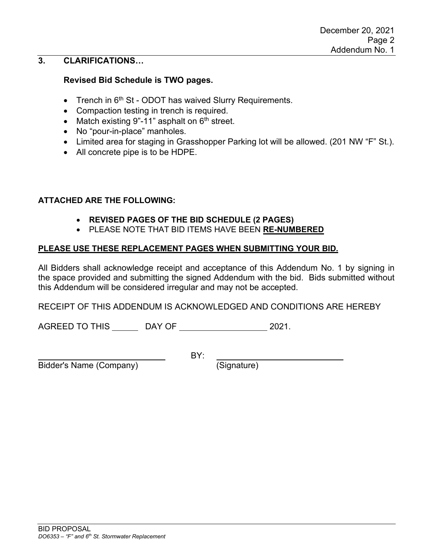## **3. CLARIFICATIONS…**

#### **Revised Bid Schedule is TWO pages.**

- Trench in 6<sup>th</sup> St ODOT has waived Slurry Requirements.
- Compaction testing in trench is required.
- Match existing 9"-11" asphalt on  $6<sup>th</sup>$  street.
- No "pour-in-place" manholes.
- Limited area for staging in Grasshopper Parking lot will be allowed. (201 NW "F" St.).
- All concrete pipe is to be HDPE.

#### **ATTACHED ARE THE FOLLOWING:**

- **REVISED PAGES OF THE BID SCHEDULE (2 PAGES)**
- PLEASE NOTE THAT BID ITEMS HAVE BEEN **RE-NUMBERED**

#### **PLEASE USE THESE REPLACEMENT PAGES WHEN SUBMITTING YOUR BID.**

All Bidders shall acknowledge receipt and acceptance of this Addendum No. 1 by signing in the space provided and submitting the signed Addendum with the bid. Bids submitted without this Addendum will be considered irregular and may not be accepted.

RECEIPT OF THIS ADDENDUM IS ACKNOWLEDGED AND CONDITIONS ARE HEREBY

AGREED TO THIS DAY OF 2021.

Bidder's Name (Company) (Signature)

BY: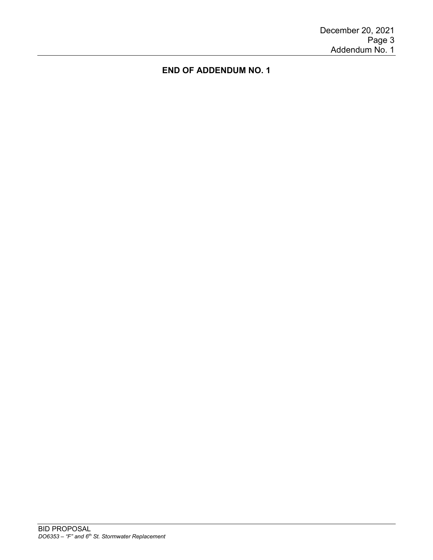# **END OF ADDENDUM NO. 1**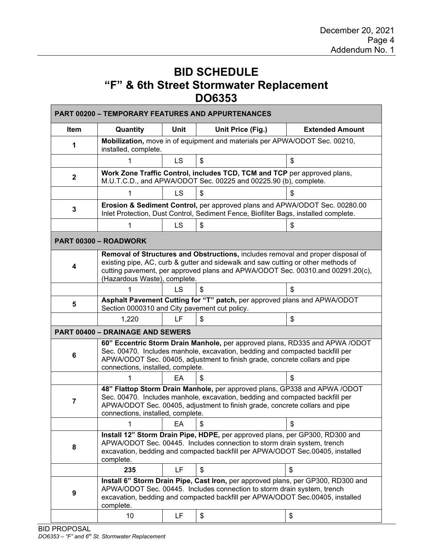# **BID SCHEDULE "F" & 6th Street Stormwater Replacement DO6353**

| Item           | Quantity                                                                                                                                                                                                                                                                               | <b>Unit</b>                                                                                                                                                       | Unit Price (Fig.) | <b>Extended Amount</b> |  |  |  |
|----------------|----------------------------------------------------------------------------------------------------------------------------------------------------------------------------------------------------------------------------------------------------------------------------------------|-------------------------------------------------------------------------------------------------------------------------------------------------------------------|-------------------|------------------------|--|--|--|
| 1              | Mobilization, move in of equipment and materials per APWA/ODOT Sec. 00210,<br>installed, complete.                                                                                                                                                                                     |                                                                                                                                                                   |                   |                        |  |  |  |
|                |                                                                                                                                                                                                                                                                                        | LS.                                                                                                                                                               | \$                | \$                     |  |  |  |
| $\mathbf{2}$   |                                                                                                                                                                                                                                                                                        | Work Zone Traffic Control, includes TCD, TCM and TCP per approved plans,<br>M.U.T.C.D., and APWA/ODOT Sec. 00225 and 00225.90 (b), complete.                      |                   |                        |  |  |  |
|                | 1                                                                                                                                                                                                                                                                                      | <b>LS</b>                                                                                                                                                         | \$                | \$                     |  |  |  |
| 3              |                                                                                                                                                                                                                                                                                        | Erosion & Sediment Control, per approved plans and APWA/ODOT Sec. 00280.00<br>Inlet Protection, Dust Control, Sediment Fence, Biofilter Bags, installed complete. |                   |                        |  |  |  |
|                | 1                                                                                                                                                                                                                                                                                      | LS                                                                                                                                                                | \$                | \$                     |  |  |  |
|                | PART 00300 - ROADWORK                                                                                                                                                                                                                                                                  |                                                                                                                                                                   |                   |                        |  |  |  |
| 4              | Removal of Structures and Obstructions, includes removal and proper disposal of<br>existing pipe, AC, curb & gutter and sidewalk and saw cutting or other methods of<br>cutting pavement, per approved plans and APWA/ODOT Sec. 00310.and 00291.20(c),<br>(Hazardous Waste), complete. |                                                                                                                                                                   |                   |                        |  |  |  |
|                | 1                                                                                                                                                                                                                                                                                      | LS                                                                                                                                                                | S                 | \$                     |  |  |  |
| 5              | Asphalt Pavement Cutting for "T" patch, per approved plans and APWA/ODOT<br>Section 0000310 and City pavement cut policy.                                                                                                                                                              |                                                                                                                                                                   |                   |                        |  |  |  |
|                | 1,220                                                                                                                                                                                                                                                                                  | LF                                                                                                                                                                | \$                | \$                     |  |  |  |
|                | <b>PART 00400 - DRAINAGE AND SEWERS</b>                                                                                                                                                                                                                                                |                                                                                                                                                                   |                   |                        |  |  |  |
| 6              | 60" Eccentric Storm Drain Manhole, per approved plans, RD335 and APWA /ODOT<br>Sec. 00470. Includes manhole, excavation, bedding and compacted backfill per<br>APWA/ODOT Sec. 00405, adjustment to finish grade, concrete collars and pipe<br>connections, installed, complete.        |                                                                                                                                                                   |                   |                        |  |  |  |
|                |                                                                                                                                                                                                                                                                                        | EA                                                                                                                                                                | \$                | \$                     |  |  |  |
| $\overline{7}$ | 48" Flattop Storm Drain Manhole, per approved plans, GP338 and APWA /ODOT<br>Sec. 00470. Includes manhole, excavation, bedding and compacted backfill per<br>APWA/ODOT Sec. 00405, adjustment to finish grade, concrete collars and pipe<br>connections, installed, complete.          |                                                                                                                                                                   |                   |                        |  |  |  |
|                |                                                                                                                                                                                                                                                                                        | EA                                                                                                                                                                | \$                | \$                     |  |  |  |
| 8              | Install 12" Storm Drain Pipe, HDPE, per approved plans, per GP300, RD300 and<br>APWA/ODOT Sec. 00445. Includes connection to storm drain system, trench<br>excavation, bedding and compacted backfill per APWA/ODOT Sec.00405, installed<br>complete.                                  |                                                                                                                                                                   |                   |                        |  |  |  |
|                | 235                                                                                                                                                                                                                                                                                    | LF.                                                                                                                                                               | \$                | \$                     |  |  |  |
|                | Install 6" Storm Drain Pipe, Cast Iron, per approved plans, per GP300, RD300 and<br>APWA/ODOT Sec. 00445. Includes connection to storm drain system, trench<br>excavation, bedding and compacted backfill per APWA/ODOT Sec.00405, installed                                           |                                                                                                                                                                   |                   |                        |  |  |  |
| 9              | complete.                                                                                                                                                                                                                                                                              |                                                                                                                                                                   |                   |                        |  |  |  |